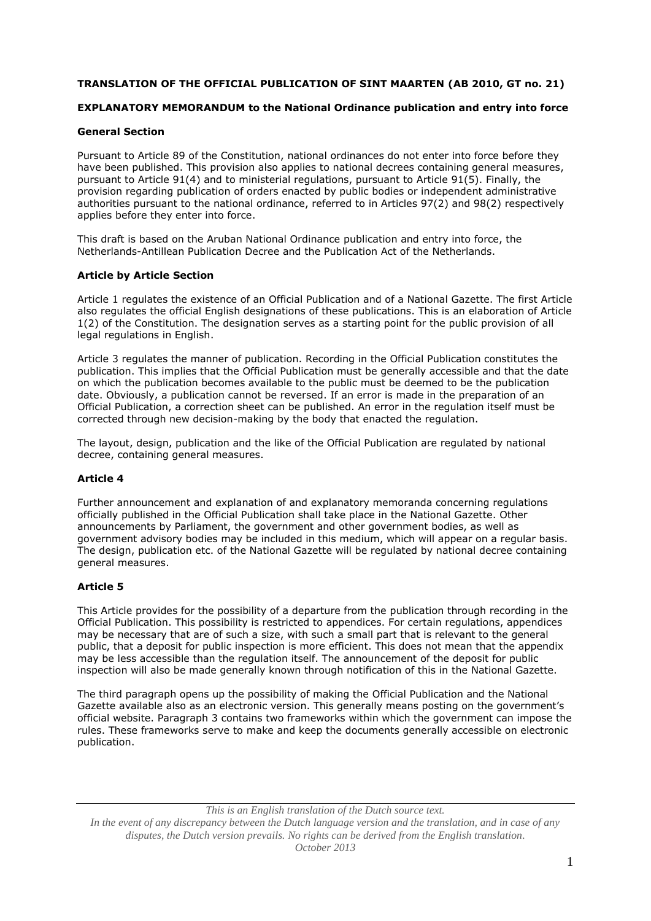### **TRANSLATION OF THE OFFICIAL PUBLICATION OF SINT MAARTEN (AB 2010, GT no. 21)**

## **EXPLANATORY MEMORANDUM to the National Ordinance publication and entry into force**

### **General Section**

Pursuant to Article 89 of the Constitution, national ordinances do not enter into force before they have been published. This provision also applies to national decrees containing general measures, pursuant to Article 91(4) and to ministerial regulations, pursuant to Article 91(5). Finally, the provision regarding publication of orders enacted by public bodies or independent administrative authorities pursuant to the national ordinance, referred to in Articles 97(2) and 98(2) respectively applies before they enter into force.

This draft is based on the Aruban National Ordinance publication and entry into force, the Netherlands-Antillean Publication Decree and the Publication Act of the Netherlands.

### **Article by Article Section**

Article 1 regulates the existence of an Official Publication and of a National Gazette. The first Article also regulates the official English designations of these publications. This is an elaboration of Article 1(2) of the Constitution. The designation serves as a starting point for the public provision of all legal regulations in English.

Article 3 regulates the manner of publication. Recording in the Official Publication constitutes the publication. This implies that the Official Publication must be generally accessible and that the date on which the publication becomes available to the public must be deemed to be the publication date. Obviously, a publication cannot be reversed. If an error is made in the preparation of an Official Publication, a correction sheet can be published. An error in the regulation itself must be corrected through new decision-making by the body that enacted the regulation.

The layout, design, publication and the like of the Official Publication are regulated by national decree, containing general measures.

#### **Article 4**

Further announcement and explanation of and explanatory memoranda concerning regulations officially published in the Official Publication shall take place in the National Gazette. Other announcements by Parliament, the government and other government bodies, as well as government advisory bodies may be included in this medium, which will appear on a regular basis. The design, publication etc. of the National Gazette will be regulated by national decree containing general measures.

#### **Article 5**

This Article provides for the possibility of a departure from the publication through recording in the Official Publication. This possibility is restricted to appendices. For certain regulations, appendices may be necessary that are of such a size, with such a small part that is relevant to the general public, that a deposit for public inspection is more efficient. This does not mean that the appendix may be less accessible than the regulation itself. The announcement of the deposit for public inspection will also be made generally known through notification of this in the National Gazette.

The third paragraph opens up the possibility of making the Official Publication and the National Gazette available also as an electronic version. This generally means posting on the government's official website. Paragraph 3 contains two frameworks within which the government can impose the rules. These frameworks serve to make and keep the documents generally accessible on electronic publication.

*This is an English translation of the Dutch source text. In the event of any discrepancy between the Dutch language version and the translation, and in case of any disputes, the Dutch version prevails. No rights can be derived from the English translation. October 2013*